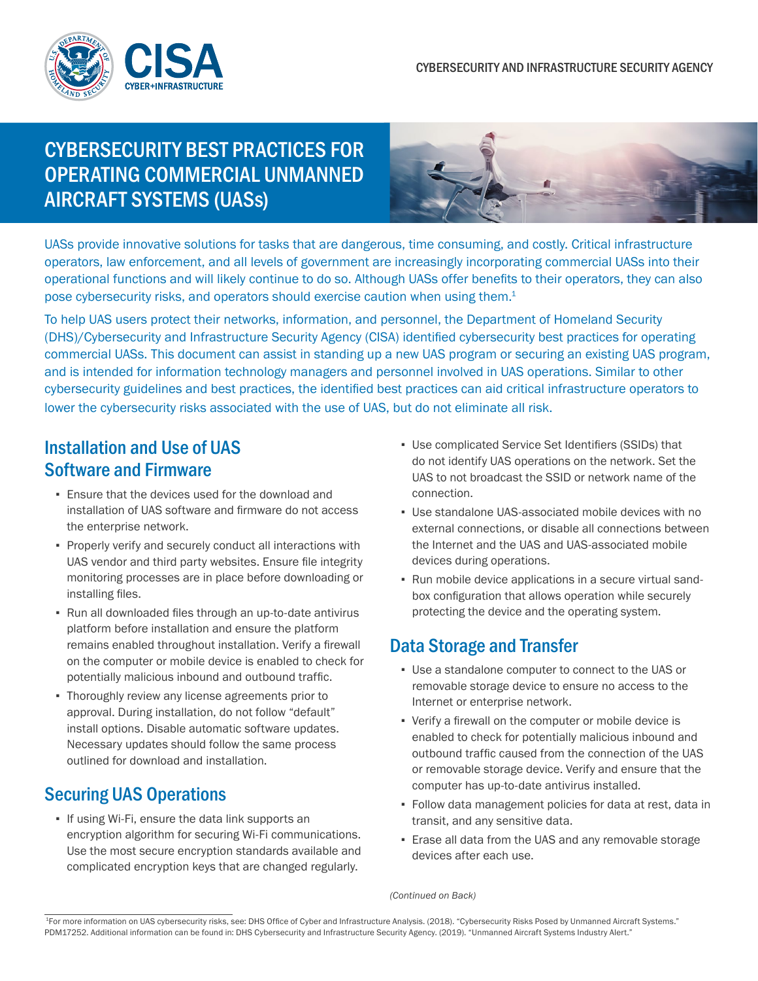

# CYBERSECURITY BEST PRACTICES FOR OPERATING COMMERCIAL UNMANNED AIRCRAFT SYSTEMS (UASs)



UASs provide innovative solutions for tasks that are dangerous, time consuming, and costly. Critical infrastructure operators, law enforcement, and all levels of government are increasingly incorporating commercial UASs into their operational functions and will likely continue to do so. Although UASs offer benefits to their operators, they can also pose cybersecurity risks, and operators should exercise caution when using them.<sup>1</sup>

To help UAS users protect their networks, information, and personnel, the Department of Homeland Security (DHS)/Cybersecurity and Infrastructure Security Agency (CISA) identified cybersecurity best practices for operating commercial UASs. This document can assist in standing up a new UAS program or securing an existing UAS program, and is intended for information technology managers and personnel involved in UAS operations. Similar to other cybersecurity guidelines and best practices, the identified best practices can aid critical infrastructure operators to lower the cybersecurity risks associated with the use of UAS, but do not eliminate all risk.

#### Installation and Use of UAS Software and Firmware

- Ensure that the devices used for the download and installation of UAS software and firmware do not access the enterprise network.
- Properly verify and securely conduct all interactions with UAS vendor and third party websites. Ensure file integrity monitoring processes are in place before downloading or installing files.
- Run all downloaded files through an up-to-date antivirus platform before installation and ensure the platform remains enabled throughout installation. Verify a firewall on the computer or mobile device is enabled to check for potentially malicious inbound and outbound traffic.
- **Thoroughly review any license agreements prior to** approval. During installation, do not follow "default" install options. Disable automatic software updates. Necessary updates should follow the same process outlined for download and installation.

### Securing UAS Operations

**.** If using Wi-Fi, ensure the data link supports an encryption algorithm for securing Wi-Fi communications. Use the most secure encryption standards available and complicated encryption keys that are changed regularly.

- Use complicated Service Set Identifiers (SSIDs) that do not identify UAS operations on the network. Set the UAS to not broadcast the SSID or network name of the connection.
- Use standalone UAS-associated mobile devices with no external connections, or disable all connections between the Internet and the UAS and UAS-associated mobile devices during operations.
- Run mobile device applications in a secure virtual sandbox configuration that allows operation while securely protecting the device and the operating system.

### Data Storage and Transfer

- Use a standalone computer to connect to the UAS or removable storage device to ensure no access to the Internet or enterprise network.
- Verify a firewall on the computer or mobile device is enabled to check for potentially malicious inbound and outbound traffic caused from the connection of the UAS or removable storage device. Verify and ensure that the computer has up-to-date antivirus installed.
- Follow data management policies for data at rest, data in transit, and any sensitive data.
- **Erase all data from the UAS and any removable storage** devices after each use.

*(Continued on Back)*

<sup>1</sup>For more information on UAS cybersecurity risks, see: DHS Office of Cyber and Infrastructure Analysis. (2018). "Cybersecurity Risks Posed by Unmanned Aircraft Systems." PDM17252. Additional information can be found in: DHS Cybersecurity and Infrastructure Security Agency. (2019). "Unmanned Aircraft Systems Industry Alert."